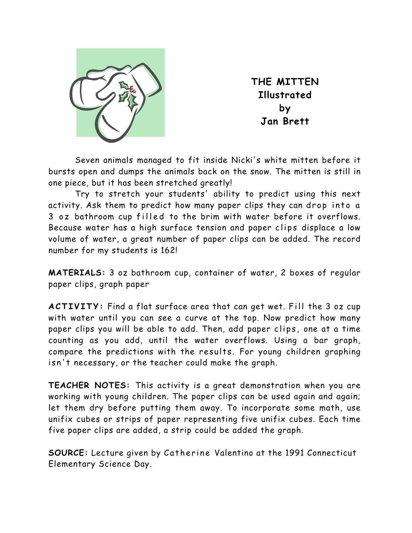

**THE MITTEN Illustrated by Jan Brett** 

Seven animals managed to fit inside Nicki's white mitten before it bursts open and dumps the animals back on the snow. The mitten is still in one piece, but it has been stretched greatly!

Try to stretch your students' ability to predict using this next activity. Ask them to predict how many paper clips they can drop into a 3 oz bathroom cup filled to the brim with water before it overflows. Because water has a high surface tension and paper clips displace a low volume of water, a great number of paper clips can be added. The record number for my students is 162!

**MATERIALS:** 3 oz bathroom cup, container of water, 2 boxes of regular paper clips, graph paper

**ACTIVITY:** Find a flat surface area that can get wet. Fill the 3 oz cup with water until you can see a curve at the top. Now predict how many paper clips you will be able to add. Then, add paper clips, one at a time counting as you add, until the water overflows. Using a bar graph, compare the predictions with the results. For young children graphing isn't necessary, or the teacher could make the graph.

**TEACHER NOTES:** This activity is a great demonstration when you are working with young children. The paper clips can be used again and again; let them dry before putting them away. To incorporate some math, use unifix cubes or strips of paper representing five unifix cubes. Each time five paper clips are added, a strip could be added the graph.

**SOURCE:** Lecture given by Catherine Valentino at the 1991 Connecticut Elementary Science Day.